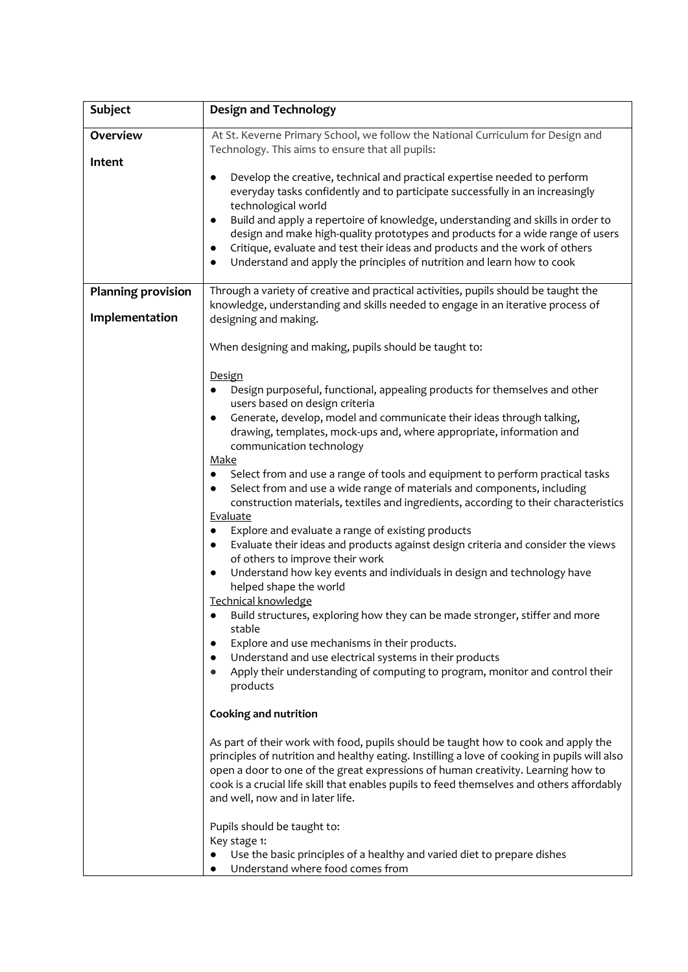| <b>Subject</b>            | <b>Design and Technology</b>                                                                                                                                                                                                                                                                                                                                                                                                                                                                                                                                                                                                                                                                                                                                                                                                                                                                                                                                                                                                                                                                                                                                                                                                                                          |
|---------------------------|-----------------------------------------------------------------------------------------------------------------------------------------------------------------------------------------------------------------------------------------------------------------------------------------------------------------------------------------------------------------------------------------------------------------------------------------------------------------------------------------------------------------------------------------------------------------------------------------------------------------------------------------------------------------------------------------------------------------------------------------------------------------------------------------------------------------------------------------------------------------------------------------------------------------------------------------------------------------------------------------------------------------------------------------------------------------------------------------------------------------------------------------------------------------------------------------------------------------------------------------------------------------------|
| <b>Overview</b><br>Intent | At St. Keverne Primary School, we follow the National Curriculum for Design and<br>Technology. This aims to ensure that all pupils:                                                                                                                                                                                                                                                                                                                                                                                                                                                                                                                                                                                                                                                                                                                                                                                                                                                                                                                                                                                                                                                                                                                                   |
|                           | Develop the creative, technical and practical expertise needed to perform<br>$\bullet$<br>everyday tasks confidently and to participate successfully in an increasingly<br>technological world<br>Build and apply a repertoire of knowledge, understanding and skills in order to<br>$\bullet$<br>design and make high-quality prototypes and products for a wide range of users<br>Critique, evaluate and test their ideas and products and the work of others<br>$\bullet$<br>Understand and apply the principles of nutrition and learn how to cook<br>$\bullet$                                                                                                                                                                                                                                                                                                                                                                                                                                                                                                                                                                                                                                                                                                   |
| <b>Planning provision</b> | Through a variety of creative and practical activities, pupils should be taught the                                                                                                                                                                                                                                                                                                                                                                                                                                                                                                                                                                                                                                                                                                                                                                                                                                                                                                                                                                                                                                                                                                                                                                                   |
| Implementation            | knowledge, understanding and skills needed to engage in an iterative process of<br>designing and making.                                                                                                                                                                                                                                                                                                                                                                                                                                                                                                                                                                                                                                                                                                                                                                                                                                                                                                                                                                                                                                                                                                                                                              |
|                           | When designing and making, pupils should be taught to:                                                                                                                                                                                                                                                                                                                                                                                                                                                                                                                                                                                                                                                                                                                                                                                                                                                                                                                                                                                                                                                                                                                                                                                                                |
|                           | Design<br>Design purposeful, functional, appealing products for themselves and other<br>users based on design criteria<br>Generate, develop, model and communicate their ideas through talking,<br>٠<br>drawing, templates, mock-ups and, where appropriate, information and<br>communication technology<br>Make<br>Select from and use a range of tools and equipment to perform practical tasks<br>Select from and use a wide range of materials and components, including<br>$\bullet$<br>construction materials, textiles and ingredients, according to their characteristics<br>Evaluate<br>Explore and evaluate a range of existing products<br>٠<br>Evaluate their ideas and products against design criteria and consider the views<br>$\bullet$<br>of others to improve their work<br>Understand how key events and individuals in design and technology have<br>$\bullet$<br>helped shape the world<br><b>Technical knowledge</b><br>Build structures, exploring how they can be made stronger, stiffer and more<br>stable<br>Explore and use mechanisms in their products.<br>Understand and use electrical systems in their products<br>Apply their understanding of computing to program, monitor and control their<br>products<br>Cooking and nutrition |
|                           | As part of their work with food, pupils should be taught how to cook and apply the<br>principles of nutrition and healthy eating. Instilling a love of cooking in pupils will also<br>open a door to one of the great expressions of human creativity. Learning how to<br>cook is a crucial life skill that enables pupils to feed themselves and others affordably<br>and well, now and in later life.                                                                                                                                                                                                                                                                                                                                                                                                                                                                                                                                                                                                                                                                                                                                                                                                                                                               |
|                           | Pupils should be taught to:<br>Key stage 1:<br>Use the basic principles of a healthy and varied diet to prepare dishes<br>Understand where food comes from                                                                                                                                                                                                                                                                                                                                                                                                                                                                                                                                                                                                                                                                                                                                                                                                                                                                                                                                                                                                                                                                                                            |